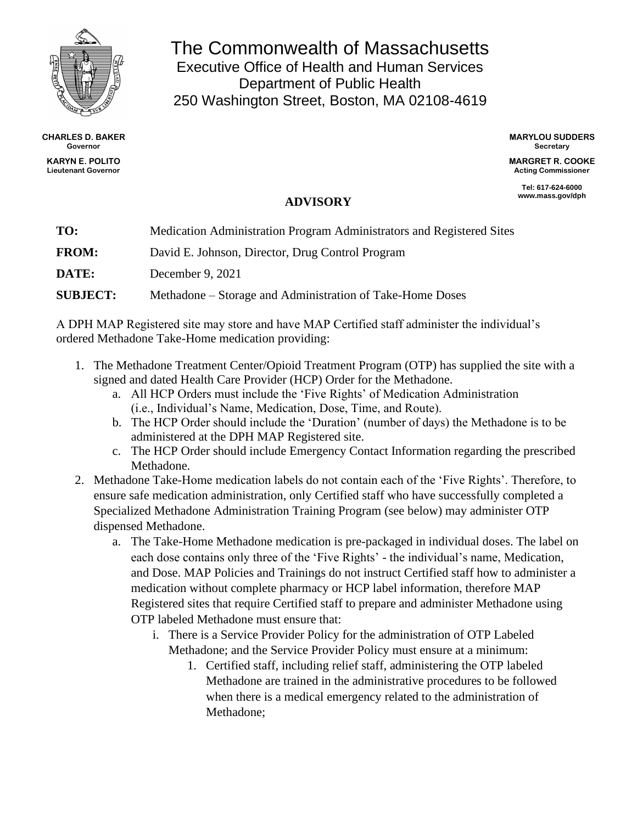

**CHARLES D. BAKER Governor**

**KARYN E. POLITO Lieutenant Governor**

## The Commonwealth of Massachusetts Executive Office of Health and Human Services Department of Public Health 250 Washington Street, Boston, MA 02108-4619

**MARYLOU SUDDERS Secretary**

**MARGRET R. COOKE Acting Commissioner**

> **Tel: 617-624-6000 www.mass.gov/dph**

## **ADVISORY**

| TO:             | Medication Administration Program Administrators and Registered Sites |
|-----------------|-----------------------------------------------------------------------|
| <b>FROM:</b>    | David E. Johnson, Director, Drug Control Program                      |
| DATE:           | December 9, 2021                                                      |
| <b>SUBJECT:</b> | Methadone – Storage and Administration of Take-Home Doses             |

A DPH MAP Registered site may store and have MAP Certified staff administer the individual's ordered Methadone Take-Home medication providing:

- 1. The Methadone Treatment Center/Opioid Treatment Program (OTP) has supplied the site with a signed and dated Health Care Provider (HCP) Order for the Methadone.
	- a. All HCP Orders must include the 'Five Rights' of Medication Administration (i.e., Individual's Name, Medication, Dose, Time, and Route).
	- b. The HCP Order should include the 'Duration' (number of days) the Methadone is to be administered at the DPH MAP Registered site.
	- c. The HCP Order should include Emergency Contact Information regarding the prescribed Methadone.
- 2. Methadone Take-Home medication labels do not contain each of the 'Five Rights'. Therefore, to ensure safe medication administration, only Certified staff who have successfully completed a Specialized Methadone Administration Training Program (see below) may administer OTP dispensed Methadone.
	- a. The Take-Home Methadone medication is pre-packaged in individual doses. The label on each dose contains only three of the 'Five Rights' - the individual's name, Medication, and Dose. MAP Policies and Trainings do not instruct Certified staff how to administer a medication without complete pharmacy or HCP label information, therefore MAP Registered sites that require Certified staff to prepare and administer Methadone using OTP labeled Methadone must ensure that:
		- i. There is a Service Provider Policy for the administration of OTP Labeled Methadone; and the Service Provider Policy must ensure at a minimum:
			- 1. Certified staff, including relief staff, administering the OTP labeled Methadone are trained in the administrative procedures to be followed when there is a medical emergency related to the administration of Methadone;